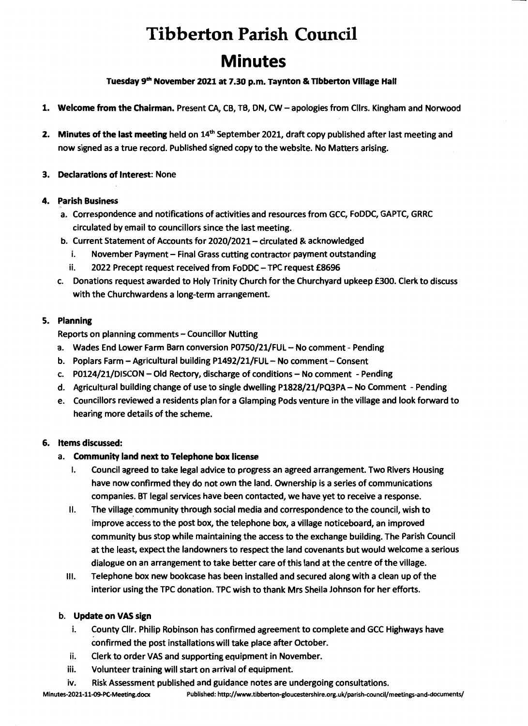# **Tibberton Parish Council Minutes**

Tuesday 9<sup>th</sup> November 2021 at 7.30 p.m. Taynton & Tibberton Village Hall

- 1. Welcome from the Chairman. Present CA, CB, TB, ON, CW- apologies from Cllrs. Kingham and Norwood
- 2. Minutes of the last meeting held on 14<sup>th</sup> September 2021, draft copy published after last meeting and now signed as a true record. Published signed copy to the website. No Matters arising.

## 3. Declarations of Interest: None

## 4. Parish Business

- a. Correspondence and notifications of activities and resources from GCC, FoDDC, GAPTC, GRRC circulated by email to councillors since the last meeting.
- b. Current Statement of Accounts for 2020/2021- circulated & acknowledged
	- i. November Payment Final Grass cutting contractor payment outstanding
	- ii. 2022 Precept request received from FoDDC- TPC request £8696
- c. Donations request awarded to Holy Trinity Church for the Churchyard upkeep £300. Clerk to discuss with the Churchwardens a long-term arrangement.

## 5. Planning

Reports on planning comments- Councillor Nutting

- a. Wades End Lower Farm Barn conversion P0750/21/FUL No comment Pending
- b. Poplars Farm- Agricultural building P1492/21/FUL- No comment- Consent
- c. P0124/21/DISCON -- Old Rectory, discharge of conditions -- No comment Pending
- d. Agricultural building change of use to single dwelling P1828/21/PQ3PA No Comment Pending
- e. Councillors reviewed a residents plan for a Glamping Pods venture in the village and look forward to hearing more details of the scheme.

## 6. Items discussed:

## a. Community land next to Telephone box license

- I. Council agreed to take legal advice to progress an agreed arrangement. Two Rivers Housing have now confirmed they do not own the land. Ownership is a series of communications companies. BT legal services have been contacted, we have yet to receive a response.
- II. The village community through social media and correspondence to the council, wish to improve access to the post box, the telephone box, a village noticeboard, an improved community bus stop while maintaining the access to the exchange building. The Parish Council at the least, expect the landowners to respect the land covenants but would welcome a serious dialogue on an arrangement to take better care of this land at the centre of the village.
- Ill. Telephone box new bookcase has been installed and secured along with a clean up of the interior using the TPC donation. TPC wish to thank Mrs Sheila Johnson for her efforts.

## b. Update on VAS sign

- i. County Cllr. Philip Robinson has confirmed agreement to complete and GCC Highways have confirmed the post installations will take place after October.
- ii. Clerk to order VAS and supporting equipment in November.
- iii. Volunteer training will start on arrival of equipment.
- iv. Risk Assessment published and guidance notes are undergoing consultations.

Minutes-2021-11-09-PC-Meeting.docx Published: http://www.tibberton-gloucestershire.org.uk/parish-council/meetings-and-documents/